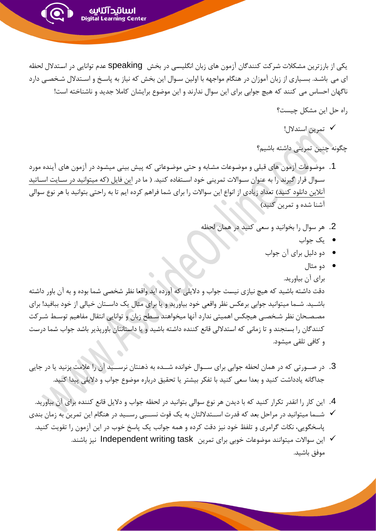یکی از بارزترین مشکلات شرکت کنندگان آزمون های زبان انگلیسی در بخش speaking عدم توانایی در استدلال لحظه ای می باشد. بسـیاری از زبان آموزان در هنگام مواجهه با اولین سـوال این بخش که نیاز به پاسـخ و اسـتدلال شـخصـی دارد ناگهان احساس می کنند که هیچ جوابی برای این سوال ندارند و این موضوع برایشان کاملا جدید و ناشناخته است!

اسانتدآئناس Digital Learning Center

- راه حل این مشکل چیست؟
	- ✓ تمرین اسدال !

چگونه چنین تمرینی داشته باشیم؟

- 1. موضوعات آزمون های قبلی و موضوعات مشابه و حتی موضوعاتی که پیش بینی میشـود در آزمون های آینده مورد ســوال قرار گیرند را به عنوان ســوالات تمرینی خود اســتفاده کنید. ( ما در این فایل (که میتوانید در ســایت اســاتید آنلاین دانلود کنید) تعداد زیادی از انواع این سوالات را برای شما فراهم کرده ایم تا به راحتی بتوانید با هر نوع سوالی آشنا شده و تمرین کنید)
	- 2. هر سوال را بخوانید و سعی کنید در همان لحظه
		- یک ه اب
		- بی بحیل براز مآ ه اب
			- بی مثا

برای آن بیاورید.

دقت داشته باشید که هیچ نیازی نیست جواب و دلایلی که آورده اید واقعا نظر شخصی شما بوده و به آن باور داشته باشـید. شــما میتوانید جوابی برعکس نظر واقعی خود بیاورید و یا برای مثال یک داســتان خیالی از خود ببافید! برای مصـصـحان نظر شـخصـی هیچکس اهمیتی ندارد آنها میخواهند سـطح زبان و توانایی انتقال مفاهیم توسـط شـر کت کنندگان را بسنجند و تا زمانی که استدلالی قانع کننده داشته باشید و یا داستانتان باوریذیر باشد جواب شما درست و کافی تلقی میشود.

- 3. در صــورتی که در همان لحظه جوابی برای ســوال خوانده شــده به ذهنتان نرســـيد آن را علامت بزنيد يا در جايی جداگانه یادداشت کنید و بعدا سعی کنید با تفکر بیشتر یا تحقیق درباره موضوع جواب و دلایلی پیدا کنید.
- 4. این کار را انقدر تکرار کنید که با دیدن هر نوع سوالی بتوانید در لحظه جواب و دلایل قانع کننده برای آن بیاورید.
- ∕ شــما میتوانید در مراحل بعد که قدرت اســتدلالتان به یک قوت نســبی رســید در هنگام این تمرین به زمان بندی پاسخگویی، نکات گرامری و تلفظ خود نیز دقت کرده و همه جوانب یک پاسخ خوب در این آزمون را تقویت کنید.
	- این سوالات میتوانند موضوعات خوبی برای تمرین Independent writing task نیز باشند.  $\checkmark$ موفق باشید.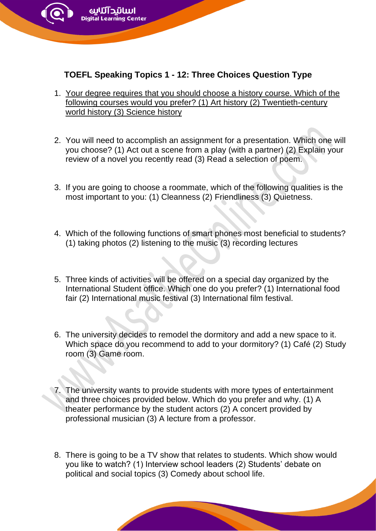

zarning Center

- 1. [Your degree requires that you should choose a history course. Which of the](https://www.bestmytest.com/toefl-speaking/1/91)  [following courses would you prefer? \(1\) Art history \(2\) Twentieth-century](https://www.bestmytest.com/toefl-speaking/1/91)  [world history \(3\) Science history](https://www.bestmytest.com/toefl-speaking/1/91)
- 2. You will need to accomplish an assignment for a presentation. Which one will you choose? (1) Act out a scene from a play (with a partner) (2) Explain your review of a novel you recently read (3) Read a selection of poem.
- 3. If you are going to choose a roommate, which of the following qualities is the most important to you: (1) Cleanness (2) Friendliness (3) Quietness.
- 4. Which of the following functions of smart phones most beneficial to students? (1) taking photos (2) listening to the music (3) recording lectures
- 5. Three kinds of activities will be offered on a special day organized by the International Student office. Which one do you prefer? (1) International food fair (2) International music festival (3) International film festival.
- 6. The university decides to remodel the dormitory and add a new space to it. Which space do you recommend to add to your dormitory? (1) Café (2) Study room (3) Game room.
- 7. The university wants to provide students with more types of entertainment and three choices provided below. Which do you prefer and why. (1) A theater performance by the student actors (2) A concert provided by professional musician (3) A lecture from a professor.
- 8. There is going to be a TV show that relates to students. Which show would you like to watch? (1) Interview school leaders (2) Students' debate on political and social topics (3) Comedy about school life.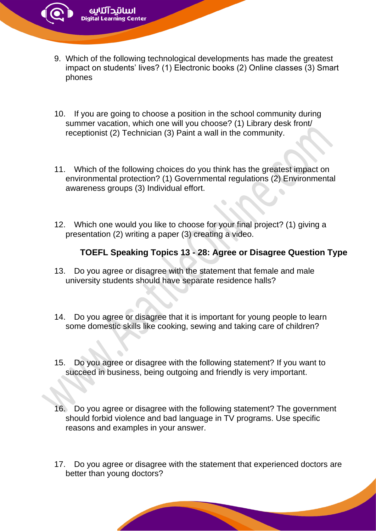- 9. Which of the following technological developments has made the greatest impact on students' lives? (1) Electronic books (2) Online classes (3) Smart phones
- 10. If you are going to choose a position in the school community during summer vacation, which one will you choose? (1) Library desk front/ receptionist (2) Technician (3) Paint a wall in the community.
- 11. Which of the following choices do you think has the greatest impact on environmental protection? (1) Governmental regulations (2) Environmental awareness groups (3) Individual effort.
- 12. Which one would you like to choose for your final project? (1) giving a presentation (2) writing a paper (3) creating a video.

## **TOEFL Speaking Topics 13 - 28: Agree or Disagree Question Type**

- 13. Do you agree or disagree with the statement that female and male university students should have separate residence halls?
- 14. Do you agree or disagree that it is important for young people to learn some domestic skills like cooking, sewing and taking care of children?
- 15. Do you agree or disagree with the following statement? If you want to succeed in business, being outgoing and friendly is very important.
- 16. Do you agree or disagree with the following statement? The government should forbid violence and bad language in TV programs. Use specific reasons and examples in your answer.
- 17. Do you agree or disagree with the statement that experienced doctors are better than young doctors?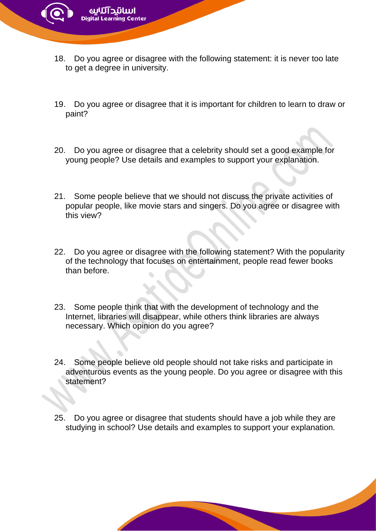

zarning Center

- 19. Do you agree or disagree that it is important for children to learn to draw or paint?
- 20. Do you agree or disagree that a celebrity should set a good example for young people? Use details and examples to support your explanation.
- 21. Some people believe that we should not discuss the private activities of popular people, like movie stars and singers. Do you agree or disagree with this view?
- 22. Do you agree or disagree with the following statement? With the popularity of the technology that focuses on entertainment, people read fewer books than before.
- 23. Some people think that with the development of technology and the Internet, libraries will disappear, while others think libraries are always necessary. Which opinion do you agree?
- 24. Some people believe old people should not take risks and participate in adventurous events as the young people. Do you agree or disagree with this statement?
- 25. Do you agree or disagree that students should have a job while they are studying in school? Use details and examples to support your explanation.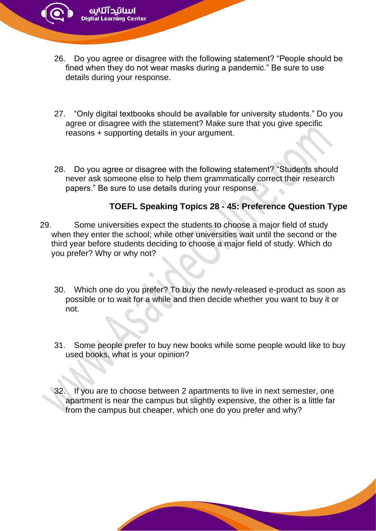26. Do you agree or disagree with the following statement? "People should be fined when they do not wear masks during a pandemic." Be sure to use details during your response.

zarning Center

- 27. "Only digital textbooks should be available for university students." Do you agree or disagree with the statement? Make sure that you give specific reasons + supporting details in your argument.
- 28. Do you agree or disagree with the following statement? "Students should never ask someone else to help them grammatically correct their research papers." Be sure to use details during your response.

## **TOEFL Speaking Topics 28 - 45: Preference Question Type**

- 29. Some universities expect the students to choose a major field of study when they enter the school; while other universities wait until the second or the third year before students deciding to choose a major field of study. Which do you prefer? Why or why not?
	- 30. Which one do you prefer? To buy the newly-released e-product as soon as possible or to wait for a while and then decide whether you want to buy it or not.
	- 31. Some people prefer to buy new books while some people would like to buy used books, what is your opinion?
	- 32. If you are to choose between 2 apartments to live in next semester, one apartment is near the campus but slightly expensive, the other is a little far from the campus but cheaper, which one do you prefer and why?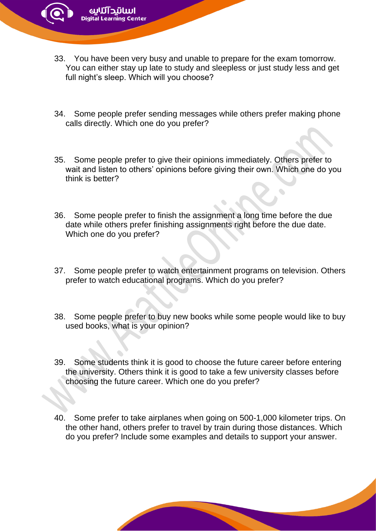- 33. You have been very busy and unable to prepare for the exam tomorrow. You can either stay up late to study and sleepless or just study less and get full night's sleep. Which will you choose?
- 34. Some people prefer sending messages while others prefer making phone calls directly. Which one do you prefer?
- 35. Some people prefer to give their opinions immediately. Others prefer to wait and listen to others' opinions before giving their own. Which one do you think is better?
- 36. Some people prefer to finish the assignment a long time before the due date while others prefer finishing assignments right before the due date. Which one do you prefer?
- 37. Some people prefer to watch entertainment programs on television. Others prefer to watch educational programs. Which do you prefer?
- 38. Some people prefer to buy new books while some people would like to buy used books, what is your opinion?
- 39. Some students think it is good to choose the future career before entering the university. Others think it is good to take a few university classes before choosing the future career. Which one do you prefer?
- 40. Some prefer to take airplanes when going on 500-1,000 kilometer trips. On the other hand, others prefer to travel by train during those distances. Which do you prefer? Include some examples and details to support your answer.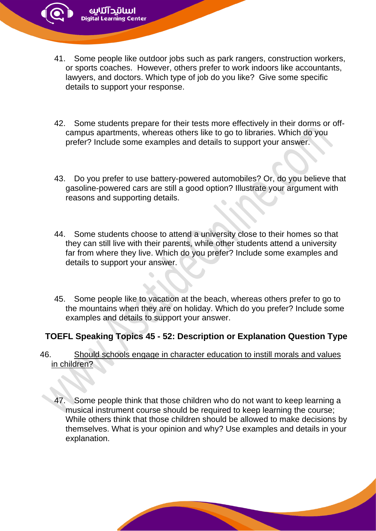41. Some people like outdoor jobs such as park rangers, construction workers, or sports coaches. However, others prefer to work indoors like accountants, lawyers, and doctors. Which type of job do you like? Give some specific details to support your response.

earning Center

- 42. Some students prepare for their tests more effectively in their dorms or offcampus apartments, whereas others like to go to libraries. Which do you prefer? Include some examples and details to support your answer.
- 43. Do you prefer to use battery-powered automobiles? Or, do you believe that gasoline-powered cars are still a good option? Illustrate your argument with reasons and supporting details.
- 44. Some students choose to attend a university close to their homes so that they can still live with their parents, while other students attend a university far from where they live. Which do you prefer? Include some examples and details to support your answer.
- 45. Some people like to vacation at the beach, whereas others prefer to go to the mountains when they are on holiday. Which do you prefer? Include some examples and details to support your answer.

## **TOEFL Speaking Topics 45 - 52: Description or Explanation Question Type**

- 46. [Should schools engage in character education to instill morals and values](https://www.bestmytest.com/toefl-speaking/2/97)  [in children?](https://www.bestmytest.com/toefl-speaking/2/97)
	- 47. Some people think that those children who do not want to keep learning a musical instrument course should be required to keep learning the course; While others think that those children should be allowed to make decisions by themselves. What is your opinion and why? Use examples and details in your explanation.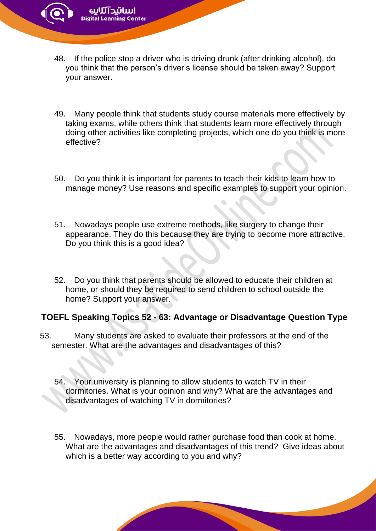48. If the police stop a driver who is driving drunk (after drinking alcohol), do you think that the person's driver's license should be taken away? Support your answer.

earning Center

- 49. Many people think that students study course materials more effectively by taking exams, while others think that students learn more effectively through doing other activities like completing projects, which one do you think is more effective?
- 50. Do you think it is important for parents to teach their kids to learn how to manage money? Use reasons and specific examples to support your opinion.
- 51. Nowadays people use extreme methods, like surgery to change their appearance. They do this because they are trying to become more attractive. Do you think this is a good idea?
- 52. Do you think that parents should be allowed to educate their children at home, or should they be required to send children to school outside the home? Support your answer.

## **TOEFL Speaking Topics 52 - 63: Advantage or Disadvantage Question Type**

- 53. Many students are asked to evaluate their professors at the end of the semester. What are the advantages and disadvantages of this?
	- 54. Your university is planning to allow students to watch TV in their dormitories. What is your opinion and why? What are the advantages and disadvantages of watching TV in dormitories?
	- 55. Nowadays, more people would rather purchase food than cook at home. What are the advantages and disadvantages of this trend? Give ideas about which is a better way according to you and why?